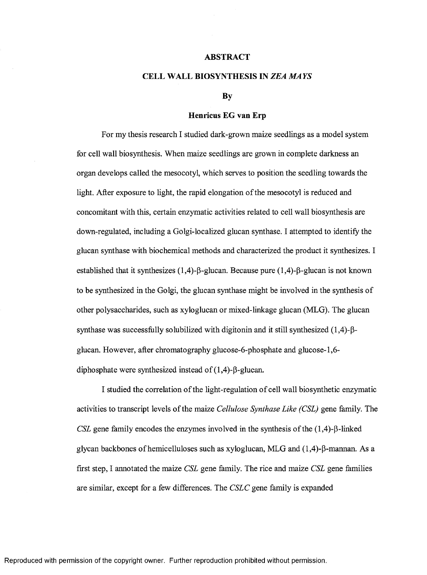## **ABSTRACT**

## **CELL WALL BIOSYNTHESIS IN** *ZEA MAYS*

## **By**

## **Henricus EG van Erp**

For my thesis research I studied dark-grown maize seedlings as a model system for cell wall biosynthesis. When maize seedlings are grown in complete darkness an organ develops called the mesocotyl, which serves to position the seedling towards the light. After exposure to light, the rapid elongation of the mesocotyl is reduced and concomitant with this, certain enzymatic activities related to cell wall biosynthesis are down-regulated, including a Golgi-localized glucan synthase. I attempted to identify the glucan synthase with biochemical methods and characterized the product it synthesizes. I established that it synthesizes  $(1,4)$ - $\beta$ -glucan. Because pure  $(1,4)$ - $\beta$ -glucan is not known to be synthesized in the Golgi, the glucan synthase might be involved in the synthesis of other polysaccharides, such as xyloglucan or mixed-linkage glucan (MLG). The glucan synthase was successfully solubilized with digitonin and it still synthesized  $(1,4)$ - $\beta$ glucan. However, after chromatography glucose-6 -phosphate and glucose-1,6 diphosphate were synthesized instead of  $(1,4)$ - $\beta$ -glucan.

I studied the correlation of the light-regulation of cell wall biosynthetic enzymatic activities to transcript levels of the maize *Cellulose Synthase Like (CSL)* gene family. The *CSL* gene family encodes the enzymes involved in the synthesis of the  $(1,4)$ - $\beta$ -linked glycan backbones of hemic elluloses such as xyloglucan, MLG and  $(1,4)$ - $\beta$ -mannan. As a first step, I annotated the maize *CSL* gene family. The rice and maize *CSL* gene families are similar, except for a few differences. The *CSLC* gene family is expanded